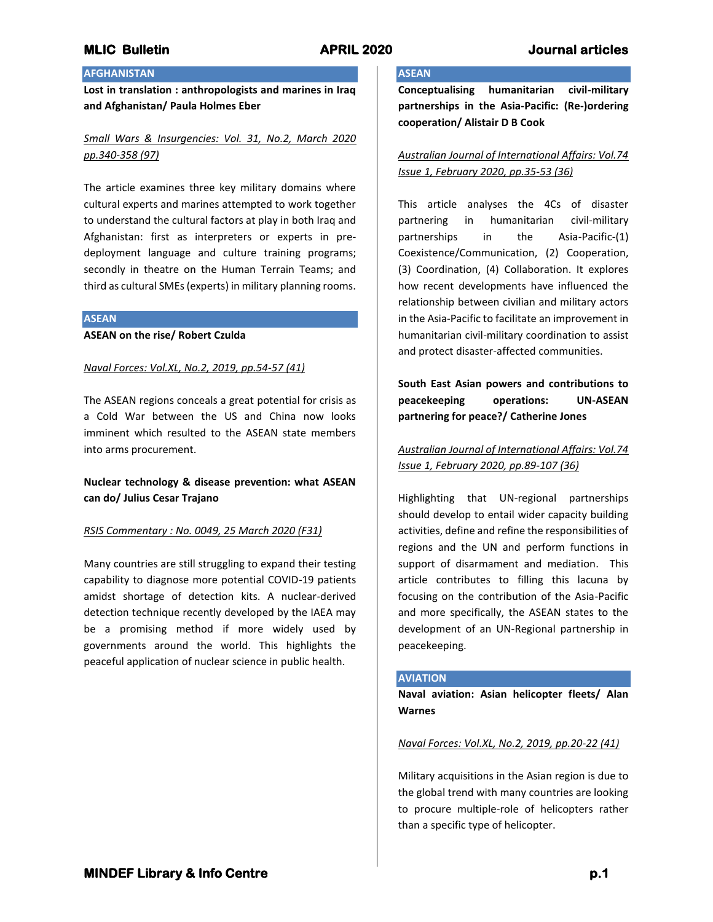# **AFGHANISTAN**

**Lost in translation : anthropologists and marines in Iraq and Afghanistan/ Paula Holmes Eber**

# *Small Wars & Insurgencies: Vol. 31, No.2, March 2020 pp.340-358 (97)*

The article examines three key military domains where cultural experts and marines attempted to work together to understand the cultural factors at play in both Iraq and Afghanistan: first as interpreters or experts in predeployment language and culture training programs; secondly in theatre on the Human Terrain Teams; and third as cultural SMEs (experts) in military planning rooms.

#### **ASEAN**

**ASEAN on the rise/ Robert Czulda**

### *Naval Forces: Vol.XL, No.2, 2019, pp.54-57 (41)*

The ASEAN regions conceals a great potential for crisis as a Cold War between the US and China now looks imminent which resulted to the ASEAN state members into arms procurement.

# **Nuclear technology & disease prevention: what ASEAN can do/ Julius Cesar Trajano**

## *RSIS Commentary : No. 0049, 25 March 2020 (F31)*

Many countries are still struggling to expand their testing capability to diagnose more potential COVID-19 patients amidst shortage of detection kits. A nuclear-derived detection technique recently developed by the IAEA may be a promising method if more widely used by governments around the world. This highlights the peaceful application of nuclear science in public health.

# **ASEAN**

**Conceptualising humanitarian civil-military partnerships in the Asia-Pacific: (Re-)ordering cooperation/ Alistair D B Cook**

*Australian Journal of International Affairs: Vol.74 Issue 1, February 2020, pp.35-53 (36)*

This article analyses the 4Cs of disaster partnering in humanitarian civil-military partnerships in the Asia-Pacific-(1) Coexistence/Communication, (2) Cooperation, (3) Coordination, (4) Collaboration. It explores how recent developments have influenced the relationship between civilian and military actors in the Asia-Pacific to facilitate an improvement in humanitarian civil-military coordination to assist and protect disaster-affected communities.

**South East Asian powers and contributions to peacekeeping operations: UN-ASEAN partnering for peace?/ Catherine Jones**

*Australian Journal of International Affairs: Vol.74 Issue 1, February 2020, pp.89-107 (36)*

Highlighting that UN-regional partnerships should develop to entail wider capacity building activities, define and refine the responsibilities of regions and the UN and perform functions in support of disarmament and mediation. This article contributes to filling this lacuna by focusing on the contribution of the Asia-Pacific and more specifically, the ASEAN states to the development of an UN-Regional partnership in peacekeeping.

## **AVIATION**

**Naval aviation: Asian helicopter fleets/ Alan Warnes**

#### *Naval Forces: Vol.XL, No.2, 2019, pp.20-22 (41)*

Military acquisitions in the Asian region is due to the global trend with many countries are looking to procure multiple-role of helicopters rather than a specific type of helicopter.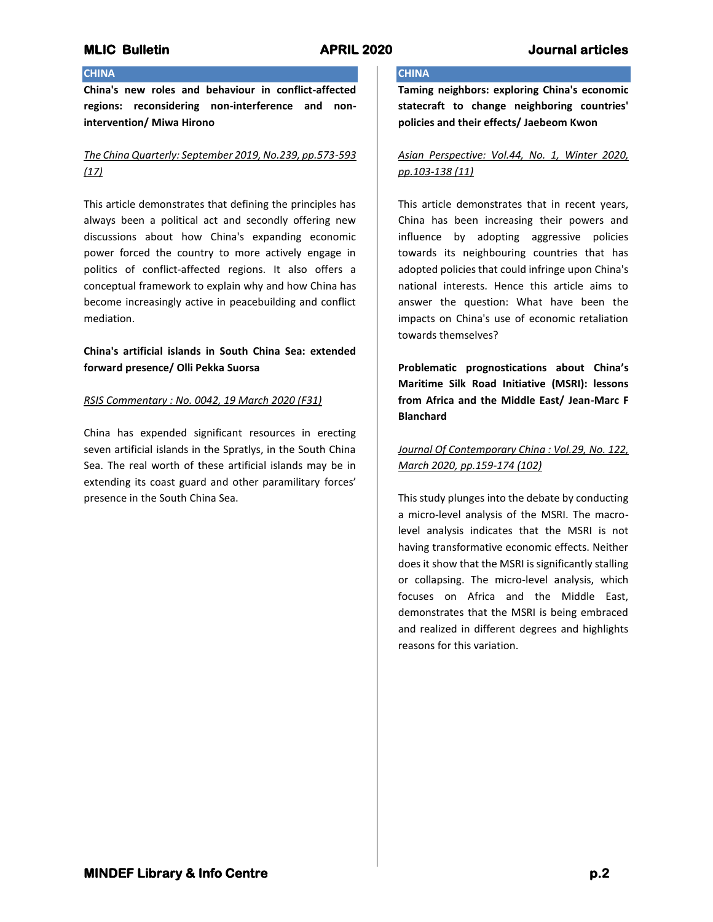## **CHINA**

**China's new roles and behaviour in conflict-affected regions: reconsidering non-interference and nonintervention/ Miwa Hirono**

# *The China Quarterly: September 2019, No.239, pp.573-593 (17)*

This article demonstrates that defining the principles has always been a political act and secondly offering new discussions about how China's expanding economic power forced the country to more actively engage in politics of conflict-affected regions. It also offers a conceptual framework to explain why and how China has become increasingly active in peacebuilding and conflict mediation.

# **China's artificial islands in South China Sea: extended forward presence/ Olli Pekka Suorsa**

## *RSIS Commentary : No. 0042, 19 March 2020 (F31)*

China has expended significant resources in erecting seven artificial islands in the Spratlys, in the South China Sea. The real worth of these artificial islands may be in extending its coast guard and other paramilitary forces' presence in the South China Sea.

## **CHINA**

**Taming neighbors: exploring China's economic statecraft to change neighboring countries' policies and their effects/ Jaebeom Kwon**

# *Asian Perspective: Vol.44, No. 1, Winter 2020, pp.103-138 (11)*

This article demonstrates that in recent years, China has been increasing their powers and influence by adopting aggressive policies towards its neighbouring countries that has adopted policies that could infringe upon China's national interests. Hence this article aims to answer the question: What have been the impacts on China's use of economic retaliation towards themselves?

**Problematic prognostications about China's Maritime Silk Road Initiative (MSRI): lessons from Africa and the Middle East/ Jean-Marc F Blanchard**

# *Journal Of Contemporary China : Vol.29, No. 122, March 2020, pp.159-174 (102)*

This study plunges into the debate by conducting a micro-level analysis of the MSRI. The macrolevel analysis indicates that the MSRI is not having transformative economic effects. Neither does it show that the MSRI is significantly stalling or collapsing. The micro-level analysis, which focuses on Africa and the Middle East, demonstrates that the MSRI is being embraced and realized in different degrees and highlights reasons for this variation.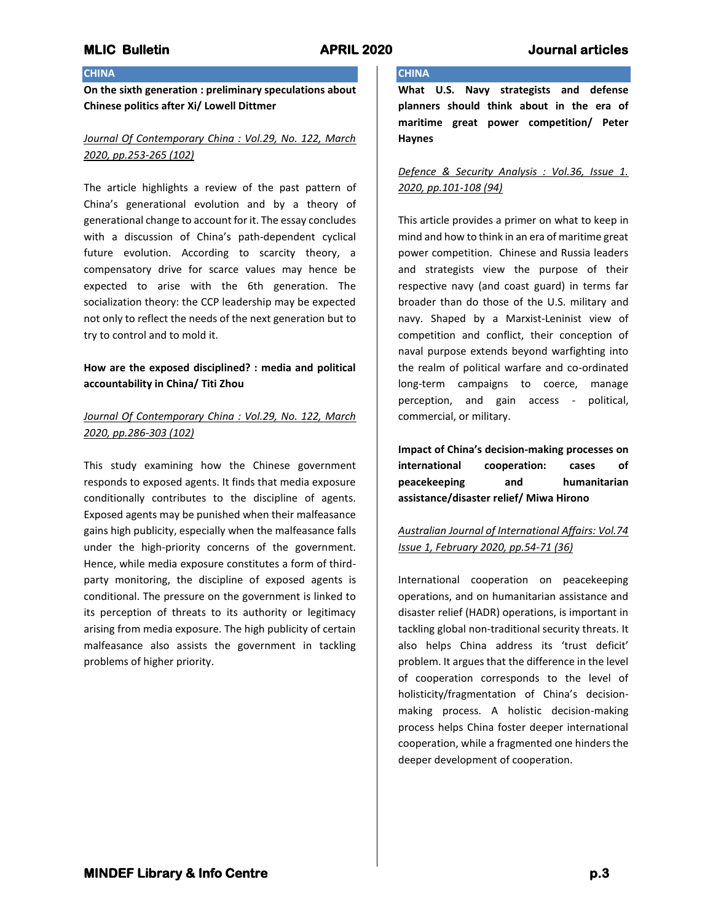**CHINA**

### **CHINA**

**On the sixth generation : preliminary speculations about Chinese politics after Xi/ Lowell Dittmer**

# *Journal Of Contemporary China : Vol.29, No. 122, March 2020, pp.253-265 (102)*

The article highlights a review of the past pattern of China's generational evolution and by a theory of generational change to account for it. The essay concludes with a discussion of China's path-dependent cyclical future evolution. According to scarcity theory, a compensatory drive for scarce values may hence be expected to arise with the 6th generation. The socialization theory: the CCP leadership may be expected not only to reflect the needs of the next generation but to try to control and to mold it.

## **How are the exposed disciplined? : media and political accountability in China/ Titi Zhou**

## *Journal Of Contemporary China : Vol.29, No. 122, March 2020, pp.286-303 (102)*

This study examining how the Chinese government responds to exposed agents. It finds that media exposure conditionally contributes to the discipline of agents. Exposed agents may be punished when their malfeasance gains high publicity, especially when the malfeasance falls under the high-priority concerns of the government. Hence, while media exposure constitutes a form of thirdparty monitoring, the discipline of exposed agents is conditional. The pressure on the government is linked to its perception of threats to its authority or legitimacy arising from media exposure. The high publicity of certain malfeasance also assists the government in tackling problems of higher priority.

**What U.S. Navy strategists and defense planners should think about in the era of maritime great power competition/ Peter Haynes**

*Defence & Security Analysis : Vol.36, Issue 1. 2020, pp.101-108 (94)*

This article provides a primer on what to keep in mind and how to think in an era of maritime great power competition. Chinese and Russia leaders and strategists view the purpose of their respective navy (and coast guard) in terms far broader than do those of the U.S. military and navy. Shaped by a Marxist-Leninist view of competition and conflict, their conception of naval purpose extends beyond warfighting into the realm of political warfare and co-ordinated long-term campaigns to coerce, manage perception, and gain access - political, commercial, or military.

**Impact of China's decision-making processes on international cooperation: cases of peacekeeping and humanitarian assistance/disaster relief/ Miwa Hirono**

# *Australian Journal of International Affairs: Vol.74 Issue 1, February 2020, pp.54-71 (36)*

International cooperation on peacekeeping operations, and on humanitarian assistance and disaster relief (HADR) operations, is important in tackling global non-traditional security threats. It also helps China address its 'trust deficit' problem. It argues that the difference in the level of cooperation corresponds to the level of holisticity/fragmentation of China's decisionmaking process. A holistic decision-making process helps China foster deeper international cooperation, while a fragmented one hinders the deeper development of cooperation.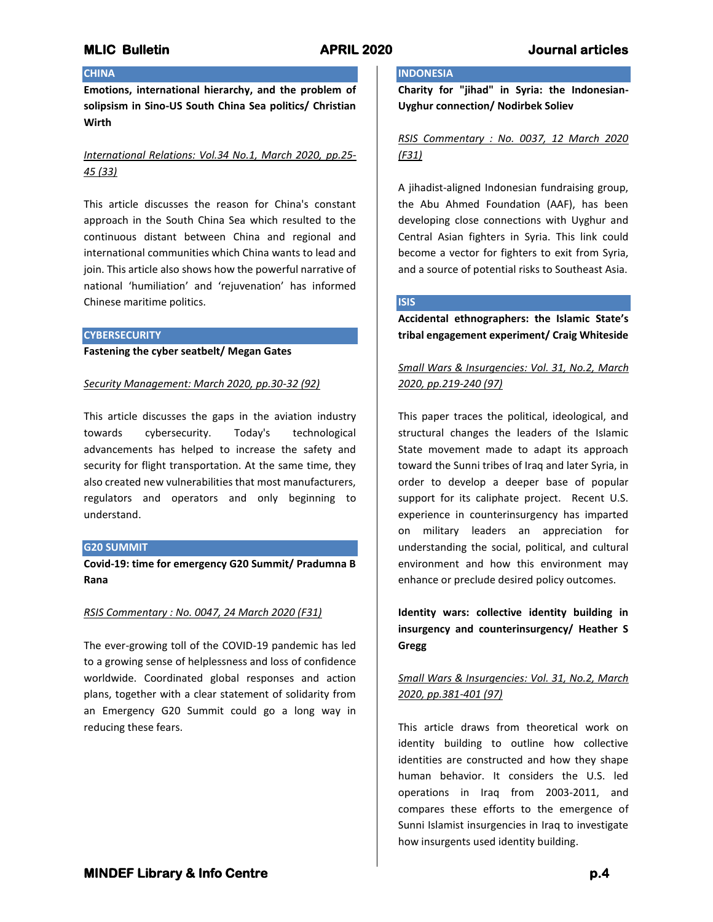### **CHINA**

**Emotions, international hierarchy, and the problem of solipsism in Sino-US South China Sea politics/ Christian Wirth**

# *International Relations: Vol.34 No.1, March 2020, pp.25- 45 (33)*

This article discusses the reason for China's constant approach in the South China Sea which resulted to the continuous distant between China and regional and international communities which China wants to lead and join. This article also shows how the powerful narrative of national 'humiliation' and 'rejuvenation' has informed Chinese maritime politics.

#### **CYBERSECURITY**

**Fastening the cyber seatbelt/ Megan Gates**

#### *Security Management: March 2020, pp.30-32 (92)*

This article discusses the gaps in the aviation industry towards cybersecurity. Today's technological advancements has helped to increase the safety and security for flight transportation. At the same time, they also created new vulnerabilities that most manufacturers, regulators and operators and only beginning to understand.

#### **G20 SUMMIT**

**Covid-19: time for emergency G20 Summit/ Pradumna B Rana**

#### *RSIS Commentary : No. 0047, 24 March 2020 (F31)*

The ever-growing toll of the COVID-19 pandemic has led to a growing sense of helplessness and loss of confidence worldwide. Coordinated global responses and action plans, together with a clear statement of solidarity from an Emergency G20 Summit could go a long way in reducing these fears.

# **INDONESIA**

**Charity for "jihad" in Syria: the Indonesian-Uyghur connection/ Nodirbek Soliev**

# *RSIS Commentary : No. 0037, 12 March 2020 (F31)*

A jihadist-aligned Indonesian fundraising group, the Abu Ahmed Foundation (AAF), has been developing close connections with Uyghur and Central Asian fighters in Syria. This link could become a vector for fighters to exit from Syria, and a source of potential risks to Southeast Asia.

# **ISIS**

**Accidental ethnographers: the Islamic State's tribal engagement experiment/ Craig Whiteside**

# *Small Wars & Insurgencies: Vol. 31, No.2, March 2020, pp.219-240 (97)*

This paper traces the political, ideological, and structural changes the leaders of the Islamic State movement made to adapt its approach toward the Sunni tribes of Iraq and later Syria, in order to develop a deeper base of popular support for its caliphate project. Recent U.S. experience in counterinsurgency has imparted on military leaders an appreciation for understanding the social, political, and cultural environment and how this environment may enhance or preclude desired policy outcomes.

**Identity wars: collective identity building in insurgency and counterinsurgency/ Heather S Gregg**

# *Small Wars & Insurgencies: Vol. 31, No.2, March 2020, pp.381-401 (97)*

This article draws from theoretical work on identity building to outline how collective identities are constructed and how they shape human behavior. It considers the U.S. led operations in Iraq from 2003-2011, and compares these efforts to the emergence of Sunni Islamist insurgencies in Iraq to investigate how insurgents used identity building.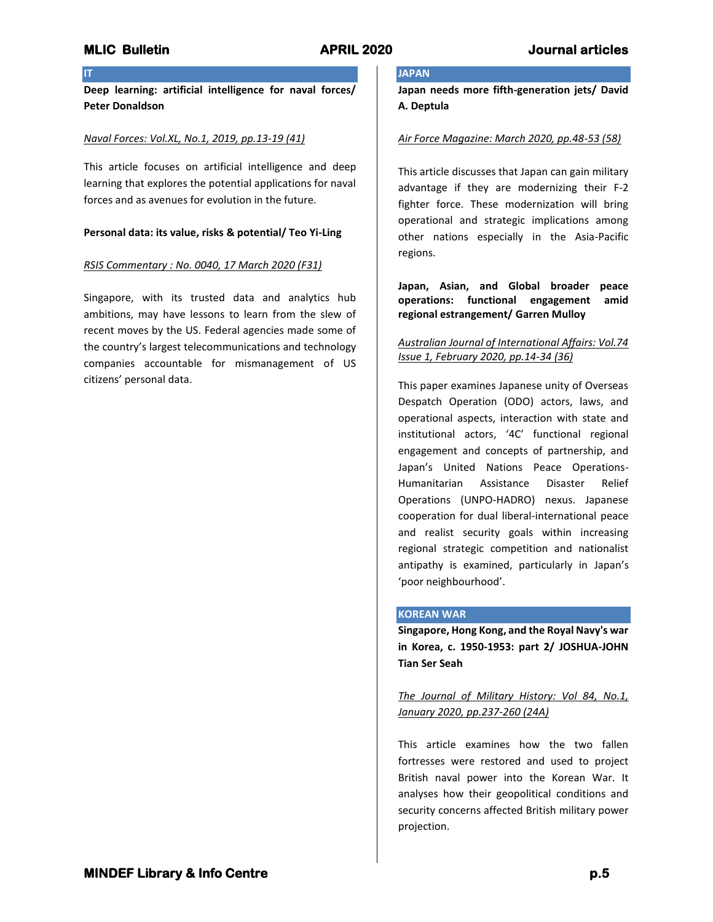## **IT**

**Deep learning: artificial intelligence for naval forces/ Peter Donaldson**

### *Naval Forces: Vol.XL, No.1, 2019, pp.13-19 (41)*

This article focuses on artificial intelligence and deep learning that explores the potential applications for naval forces and as avenues for evolution in the future.

### **Personal data: its value, risks & potential/ Teo Yi-Ling**

### *RSIS Commentary : No. 0040, 17 March 2020 (F31)*

Singapore, with its trusted data and analytics hub ambitions, may have lessons to learn from the slew of recent moves by the US. Federal agencies made some of the country's largest telecommunications and technology companies accountable for mismanagement of US citizens' personal data.

# **JAPAN**

**Japan needs more fifth-generation jets/ David A. Deptula**

### *Air Force Magazine: March 2020, pp.48-53 (58)*

This article discusses that Japan can gain military advantage if they are modernizing their F-2 fighter force. These modernization will bring operational and strategic implications among other nations especially in the Asia-Pacific regions.

**Japan, Asian, and Global broader peace operations: functional engagement amid regional estrangement/ Garren Mulloy**

## *Australian Journal of International Affairs: Vol.74 Issue 1, February 2020, pp.14-34 (36)*

This paper examines Japanese unity of Overseas Despatch Operation (ODO) actors, laws, and operational aspects, interaction with state and institutional actors, '4C' functional regional engagement and concepts of partnership, and Japan's United Nations Peace Operations-Humanitarian Assistance Disaster Relief Operations (UNPO-HADRO) nexus. Japanese cooperation for dual liberal-international peace and realist security goals within increasing regional strategic competition and nationalist antipathy is examined, particularly in Japan's 'poor neighbourhood'.

### **KOREAN WAR**

**Singapore, Hong Kong, and the Royal Navy's war in Korea, c. 1950-1953: part 2/ JOSHUA-JOHN Tian Ser Seah**

*The Journal of Military History: Vol 84, No.1, January 2020, pp.237-260 (24A)*

This article examines how the two fallen fortresses were restored and used to project British naval power into the Korean War. It analyses how their geopolitical conditions and security concerns affected British military power projection.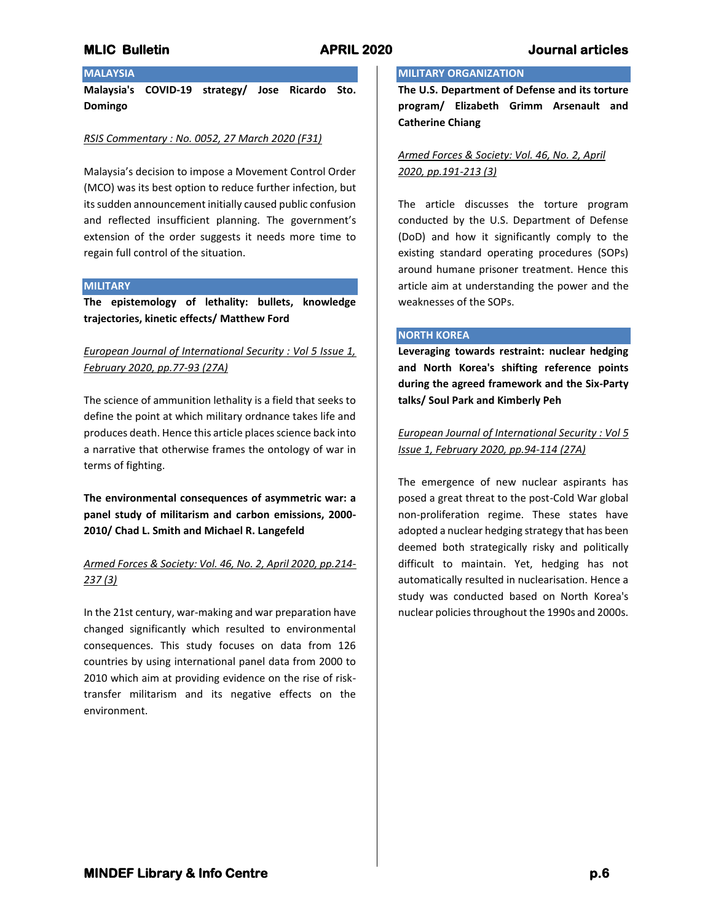# **MLIC Bulletin APRIL 2020 Journal articles**

# **MALAYSIA**

**Malaysia's COVID-19 strategy/ Jose Ricardo Sto. Domingo**

### *RSIS Commentary : No. 0052, 27 March 2020 (F31)*

Malaysia's decision to impose a Movement Control Order (MCO) was its best option to reduce further infection, but its sudden announcement initially caused public confusion and reflected insufficient planning. The government's extension of the order suggests it needs more time to regain full control of the situation.

#### **MILITARY**

**The epistemology of lethality: bullets, knowledge trajectories, kinetic effects/ Matthew Ford**

## *European Journal of International Security : Vol 5 Issue 1, February 2020, pp.77-93 (27A)*

The science of ammunition lethality is a field that seeks to define the point at which military ordnance takes life and produces death. Hence this article places science back into a narrative that otherwise frames the ontology of war in terms of fighting.

**The environmental consequences of asymmetric war: a panel study of militarism and carbon emissions, 2000- 2010/ Chad L. Smith and Michael R. Langefeld**

# *Armed Forces & Society: Vol. 46, No. 2, April 2020, pp.214- 237 (3)*

In the 21st century, war-making and war preparation have changed significantly which resulted to environmental consequences. This study focuses on data from 126 countries by using international panel data from 2000 to 2010 which aim at providing evidence on the rise of risktransfer militarism and its negative effects on the environment.

# **MILITARY ORGANIZATION**

**The U.S. Department of Defense and its torture program/ Elizabeth Grimm Arsenault and Catherine Chiang**

*Armed Forces & Society: Vol. 46, No. 2, April 2020, pp.191-213 (3)*

The article discusses the torture program conducted by the U.S. Department of Defense (DoD) and how it significantly comply to the existing standard operating procedures (SOPs) around humane prisoner treatment. Hence this article aim at understanding the power and the weaknesses of the SOPs.

### **NORTH KOREA**

**Leveraging towards restraint: nuclear hedging and North Korea's shifting reference points during the agreed framework and the Six-Party talks/ Soul Park and Kimberly Peh**

*European Journal of International Security : Vol 5 Issue 1, February 2020, pp.94-114 (27A)*

The emergence of new nuclear aspirants has posed a great threat to the post-Cold War global non-proliferation regime. These states have adopted a nuclear hedging strategy that has been deemed both strategically risky and politically difficult to maintain. Yet, hedging has not automatically resulted in nuclearisation. Hence a study was conducted based on North Korea's nuclear policies throughout the 1990s and 2000s.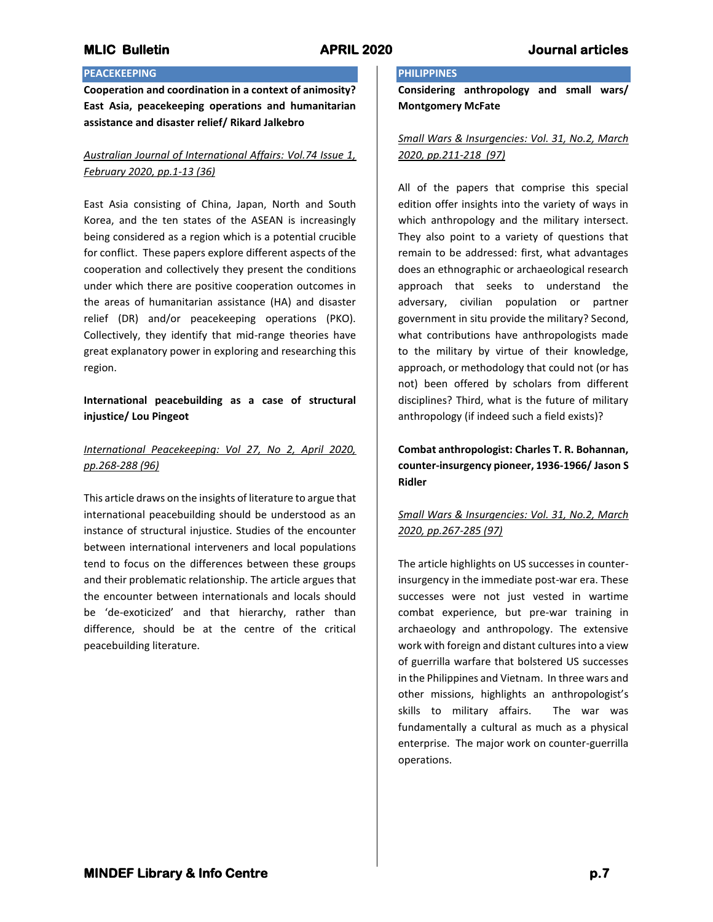# **PEACEKEEPING**

**Cooperation and coordination in a context of animosity? East Asia, peacekeeping operations and humanitarian assistance and disaster relief/ Rikard Jalkebro**

# *Australian Journal of International Affairs: Vol.74 Issue 1, February 2020, pp.1-13 (36)*

East Asia consisting of China, Japan, North and South Korea, and the ten states of the ASEAN is increasingly being considered as a region which is a potential crucible for conflict. These papers explore different aspects of the cooperation and collectively they present the conditions under which there are positive cooperation outcomes in the areas of humanitarian assistance (HA) and disaster relief (DR) and/or peacekeeping operations (PKO). Collectively, they identify that mid-range theories have great explanatory power in exploring and researching this region.

# **International peacebuilding as a case of structural injustice/ Lou Pingeot**

# *International Peacekeeping: Vol 27, No 2, April 2020, pp.268-288 (96)*

This article draws on the insights of literature to argue that international peacebuilding should be understood as an instance of structural injustice. Studies of the encounter between international interveners and local populations tend to focus on the differences between these groups and their problematic relationship. The article argues that the encounter between internationals and locals should be 'de-exoticized' and that hierarchy, rather than difference, should be at the centre of the critical peacebuilding literature.

# **PHILIPPINES**

**Considering anthropology and small wars/ Montgomery McFate**

# *Small Wars & Insurgencies: Vol. 31, No.2, March 2020, pp.211-218 (97)*

All of the papers that comprise this special edition offer insights into the variety of ways in which anthropology and the military intersect. They also point to a variety of questions that remain to be addressed: first, what advantages does an ethnographic or archaeological research approach that seeks to understand the adversary, civilian population or partner government in situ provide the military? Second, what contributions have anthropologists made to the military by virtue of their knowledge, approach, or methodology that could not (or has not) been offered by scholars from different disciplines? Third, what is the future of military anthropology (if indeed such a field exists)?

**Combat anthropologist: Charles T. R. Bohannan, counter-insurgency pioneer, 1936-1966/ Jason S Ridler**

# *Small Wars & Insurgencies: Vol. 31, No.2, March 2020, pp.267-285 (97)*

The article highlights on US successes in counterinsurgency in the immediate post-war era. These successes were not just vested in wartime combat experience, but pre-war training in archaeology and anthropology. The extensive work with foreign and distant cultures into a view of guerrilla warfare that bolstered US successes in the Philippines and Vietnam. In three wars and other missions, highlights an anthropologist's skills to military affairs. The war was fundamentally a cultural as much as a physical enterprise. The major work on counter-guerrilla operations.